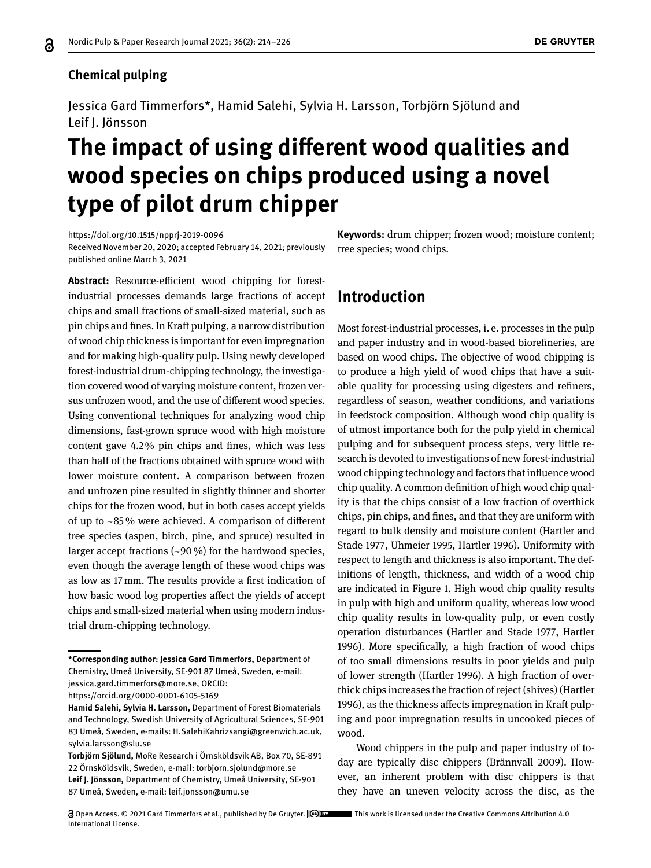#### **Chemical pulping**

Jessica Gard Timmerfors\*, Hamid Salehi, Sylvia H. Larsson, Torbjörn Sjölund and Leif J. Jönsson

# **The impact of using diferent wood qualities and wood species on chips produced using a novel type of pilot drum chipper**

<https://doi.org/10.1515/npprj-2019-0096> Received November 20, 2020; accepted February 14, 2021; previously published online March 3, 2021

Abstract: Resource-efficient wood chipping for forestindustrial processes demands large fractions of accept chips and small fractions of small-sized material, such as pin chips and fnes. In Kraft pulping, a narrow distribution of wood chip thickness is important for even impregnation and for making high-quality pulp. Using newly developed forest-industrial drum-chipping technology, the investigation covered wood of varying moisture content, frozen versus unfrozen wood, and the use of diferent wood species. Using conventional techniques for analyzing wood chip dimensions, fast-grown spruce wood with high moisture content gave 4.2 % pin chips and fnes, which was less than half of the fractions obtained with spruce wood with lower moisture content. A comparison between frozen and unfrozen pine resulted in slightly thinner and shorter chips for the frozen wood, but in both cases accept yields of up to ∼85 % were achieved. A comparison of diferent tree species (aspen, birch, pine, and spruce) resulted in larger accept fractions (∼90 %) for the hardwood species, even though the average length of these wood chips was as low as 17 mm. The results provide a frst indication of how basic wood log properties afect the yields of accept chips and small-sized material when using modern industrial drum-chipping technology.

**Keywords:** drum chipper; frozen wood; moisture content; tree species; wood chips.

# **Introduction**

Most forest-industrial processes, i. e. processes in the pulp and paper industry and in wood-based biorefneries, are based on wood chips. The objective of wood chipping is to produce a high yield of wood chips that have a suitable quality for processing using digesters and refners, regardless of season, weather conditions, and variations in feedstock composition. Although wood chip quality is of utmost importance both for the pulp yield in chemical pulping and for subsequent process steps, very little research is devoted to investigations of new forest-industrial wood chipping technology and factors that infuence wood chip quality. A common defnition of high wood chip quality is that the chips consist of a low fraction of overthick chips, pin chips, and fnes, and that they are uniform with regard to bulk density and moisture content (Hartler and Stade [1977,](#page-11-0) Uhmeier [1995,](#page-12-1) Hartler [1996\)](#page-11-1). Uniformity with respect to length and thickness is also important. The definitions of length, thickness, and width of a wood chip are indicated in Figure [1.](#page-1-0) High wood chip quality results in pulp with high and uniform quality, whereas low wood chip quality results in low-quality pulp, or even costly operation disturbances (Hartler and Stade [1977,](#page-11-0) Hartler [1996\)](#page-11-1). More specifcally, a high fraction of wood chips of too small dimensions results in poor yields and pulp of lower strength (Hartler [1996\)](#page-11-1). A high fraction of overthick chips increases the fraction of reject (shives) (Hartler [1996\)](#page-11-1), as the thickness afects impregnation in Kraft pulping and poor impregnation results in uncooked pieces of wood.

Wood chippers in the pulp and paper industry of today are typically disc chippers (Brännvall [2009\)](#page-11-2). However, an inherent problem with disc chippers is that they have an uneven velocity across the disc, as the

**<sup>\*</sup>Corresponding author: Jessica Gard Timmerfors,** Department of Chemistry, Umeå University, SE-901 87 Umeå, Sweden, e-mail: [jessica.gard.timmerfors@more.se,](mailto:jessica.gard.timmerfors@more.se) ORCID: <https://orcid.org/0000-0001-6105-5169>

**Hamid Salehi, Sylvia H. Larsson,** Department of Forest Biomaterials and Technology, Swedish University of Agricultural Sciences, SE-901 83 Umeå, Sweden, e-mails: [H.SalehiKahrizsangi@greenwich.ac.uk,](mailto:H.SalehiKahrizsangi@greenwich.ac.uk) [sylvia.larsson@slu.se](mailto:sylvia.larsson@slu.se)

**Torbjörn Sjölund,** MoRe Research i Örnsköldsvik AB, Box 70, SE-891 22 Örnsköldsvik, Sweden, e-mail: [torbjorn.sjolund@more.se](mailto:torbjorn.sjolund@more.se) **Leif J. Jönsson,** Department of Chemistry, Umeå University, SE-901 87 Umeå, Sweden, e-mail: [leif.jonsson@umu.se](mailto:leif.jonsson@umu.se)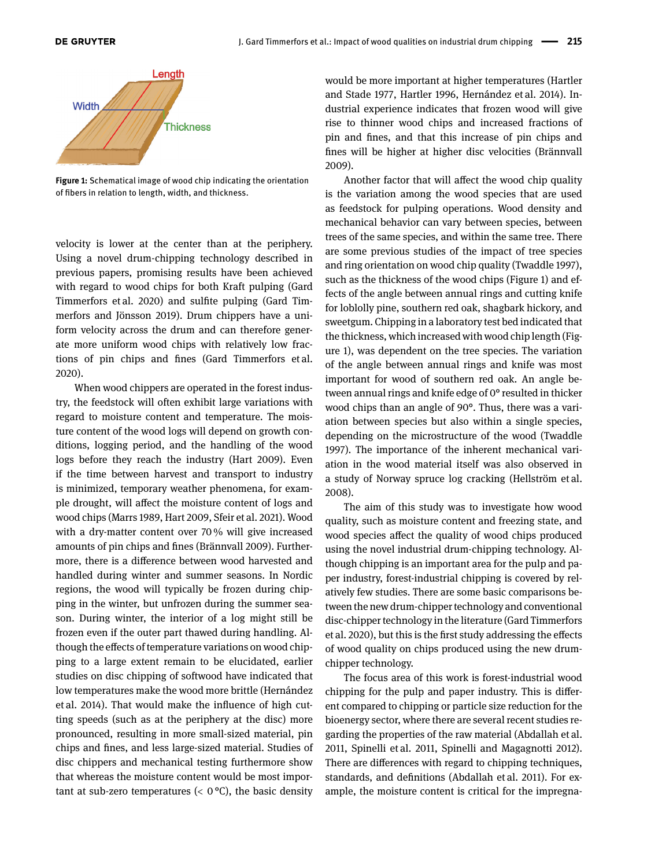<span id="page-1-0"></span>

**Figure 1:** Schematical image of wood chip indicating the orientation of fbers in relation to length, width, and thickness.

velocity is lower at the center than at the periphery. Using a novel drum-chipping technology described in previous papers, promising results have been achieved with regard to wood chips for both Kraft pulping (Gard Timmerfors et al. [2020\)](#page-11-3) and sulfte pulping (Gard Timmerfors and Jönsson [2019\)](#page-11-4). Drum chippers have a uniform velocity across the drum and can therefore generate more uniform wood chips with relatively low fractions of pin chips and fnes (Gard Timmerfors et al. [2020\)](#page-11-3).

When wood chippers are operated in the forest industry, the feedstock will often exhibit large variations with regard to moisture content and temperature. The moisture content of the wood logs will depend on growth conditions, logging period, and the handling of the wood logs before they reach the industry (Hart [2009\)](#page-11-5). Even if the time between harvest and transport to industry is minimized, temporary weather phenomena, for example drought, will afect the moisture content of logs and wood chips (Marrs [1989,](#page-11-6) Hart [2009,](#page-11-5) Sfeir et al. [2021\)](#page-12-2). Wood with a dry-matter content over 70 % will give increased amounts of pin chips and fnes (Brännvall [2009\)](#page-11-2). Furthermore, there is a diference between wood harvested and handled during winter and summer seasons. In Nordic regions, the wood will typically be frozen during chipping in the winter, but unfrozen during the summer season. During winter, the interior of a log might still be frozen even if the outer part thawed during handling. Although the efects of temperature variations on wood chipping to a large extent remain to be elucidated, earlier studies on disc chipping of softwood have indicated that low temperatures make the wood more brittle (Hernández et al. [2014\)](#page-11-7). That would make the infuence of high cutting speeds (such as at the periphery at the disc) more pronounced, resulting in more small-sized material, pin chips and fnes, and less large-sized material. Studies of disc chippers and mechanical testing furthermore show that whereas the moisture content would be most important at sub-zero temperatures ( $< 0$  °C), the basic density

would be more important at higher temperatures (Hartler and Stade [1977,](#page-11-0) Hartler [1996,](#page-11-1) Hernández et al. [2014\)](#page-11-7). Industrial experience indicates that frozen wood will give rise to thinner wood chips and increased fractions of pin and fnes, and that this increase of pin chips and fnes will be higher at higher disc velocities (Brännvall [2009\)](#page-11-2).

Another factor that will afect the wood chip quality is the variation among the wood species that are used as feedstock for pulping operations. Wood density and mechanical behavior can vary between species, between trees of the same species, and within the same tree. There are some previous studies of the impact of tree species and ring orientation on wood chip quality (Twaddle [1997\)](#page-12-3), such as the thickness of the wood chips (Figure [1\)](#page-1-0) and effects of the angle between annual rings and cutting knife for loblolly pine, southern red oak, shagbark hickory, and sweetgum. Chipping in a laboratory test bed indicated that the thickness, which increased with wood chip length (Figure [1\)](#page-1-0), was dependent on the tree species. The variation of the angle between annual rings and knife was most important for wood of southern red oak. An angle between annual rings and knife edge of 0° resulted in thicker wood chips than an angle of 90°. Thus, there was a variation between species but also within a single species, depending on the microstructure of the wood (Twaddle [1997\)](#page-12-3). The importance of the inherent mechanical variation in the wood material itself was also observed in a study of Norway spruce log cracking (Hellström et al. [2008\)](#page-11-8).

The aim of this study was to investigate how wood quality, such as moisture content and freezing state, and wood species afect the quality of wood chips produced using the novel industrial drum-chipping technology. Although chipping is an important area for the pulp and paper industry, forest-industrial chipping is covered by relatively few studies. There are some basic comparisons between the new drum-chipper technology and conventional disc-chipper technology in the literature (Gard Timmerfors et al. [2020\)](#page-11-3), but this is the frst study addressing the efects of wood quality on chips produced using the new drumchipper technology.

The focus area of this work is forest-industrial wood chipping for the pulp and paper industry. This is diferent compared to chipping or particle size reduction for the bioenergy sector, where there are several recent studies regarding the properties of the raw material (Abdallah et al. [2011,](#page-11-9) Spinelli et al. [2011,](#page-12-4) Spinelli and Magagnotti [2012\)](#page-12-5). There are diferences with regard to chipping techniques, standards, and defnitions (Abdallah et al. [2011\)](#page-11-9). For example, the moisture content is critical for the impregna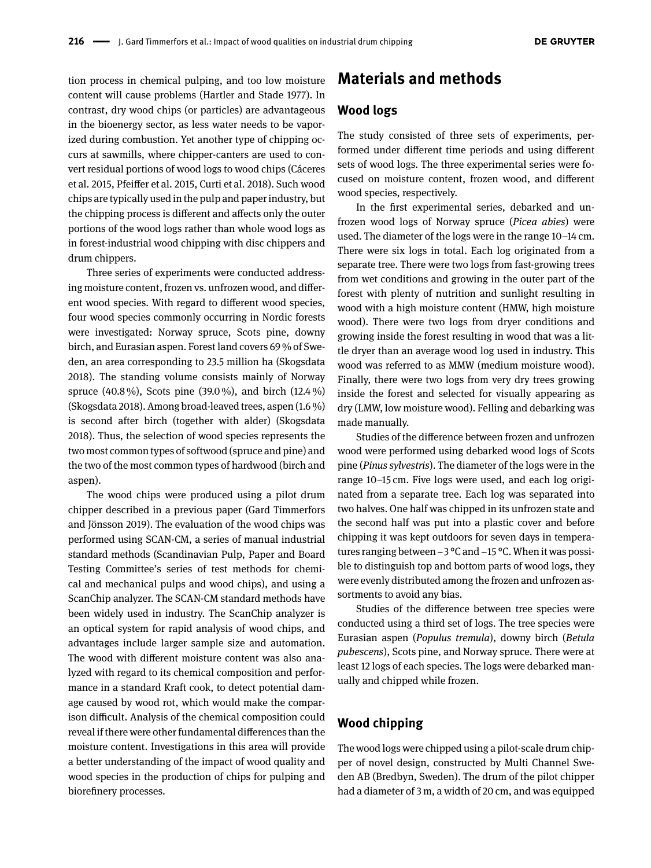tion process in chemical pulping, and too low moisture content will cause problems (Hartler and Stade [1977\)](#page-11-0). In contrast, dry wood chips (or particles) are advantageous in the bioenergy sector, as less water needs to be vaporized during combustion. Yet another type of chipping occurs at sawmills, where chipper-canters are used to convert residual portions of wood logs to wood chips (Cáceres et al. [2015,](#page-11-10) Pfeifer et al. [2015,](#page-11-11) Curti et al. [2018\)](#page-11-12). Such wood chips are typically used in the pulp and paper industry, but the chipping process is diferent and afects only the outer portions of the wood logs rather than whole wood logs as in forest-industrial wood chipping with disc chippers and drum chippers.

Three series of experiments were conducted addressing moisture content, frozen vs. unfrozen wood, and diferent wood species. With regard to diferent wood species, four wood species commonly occurring in Nordic forests were investigated: Norway spruce, Scots pine, downy birch, and Eurasian aspen. Forest land covers 69 % of Sweden, an area corresponding to 23.5 million ha (Skogsdata [2018\)](#page-12-6). The standing volume consists mainly of Norway spruce (40.8 %), Scots pine (39.0 %), and birch (12.4 %) (Skogsdata [2018\)](#page-12-6). Among broad-leaved trees, aspen (1.6 %) is second after birch (together with alder) (Skogsdata [2018\)](#page-12-6). Thus, the selection of wood species represents the two most common types of softwood (spruce and pine) and the two of the most common types of hardwood (birch and aspen).

The wood chips were produced using a pilot drum chipper described in a previous paper (Gard Timmerfors and Jönsson [2019\)](#page-11-4). The evaluation of the wood chips was performed using SCAN-CM, a series of manual industrial standard methods (Scandinavian Pulp, Paper and Board Testing Committee's series of test methods for chemical and mechanical pulps and wood chips), and using a ScanChip analyzer. The SCAN-CM standard methods have been widely used in industry. The ScanChip analyzer is an optical system for rapid analysis of wood chips, and advantages include larger sample size and automation. The wood with diferent moisture content was also analyzed with regard to its chemical composition and performance in a standard Kraft cook, to detect potential damage caused by wood rot, which would make the comparison difficult. Analysis of the chemical composition could reveal if there were other fundamental diferences than the moisture content. Investigations in this area will provide a better understanding of the impact of wood quality and wood species in the production of chips for pulping and biorefnery processes.

### **Materials and methods**

#### **Wood logs**

The study consisted of three sets of experiments, performed under diferent time periods and using diferent sets of wood logs. The three experimental series were focused on moisture content, frozen wood, and diferent wood species, respectively.

In the frst experimental series, debarked and unfrozen wood logs of Norway spruce (*Picea abies*) were used. The diameter of the logs were in the range 10–14 cm. There were six logs in total. Each log originated from a separate tree. There were two logs from fast-growing trees from wet conditions and growing in the outer part of the forest with plenty of nutrition and sunlight resulting in wood with a high moisture content (HMW, high moisture wood). There were two logs from dryer conditions and growing inside the forest resulting in wood that was a little dryer than an average wood log used in industry. This wood was referred to as MMW (medium moisture wood). Finally, there were two logs from very dry trees growing inside the forest and selected for visually appearing as dry (LMW, low moisture wood). Felling and debarking was made manually.

Studies of the diference between frozen and unfrozen wood were performed using debarked wood logs of Scots pine (*Pinus sylvestris*). The diameter of the logs were in the range 10–15 cm. Five logs were used, and each log originated from a separate tree. Each log was separated into two halves. One half was chipped in its unfrozen state and the second half was put into a plastic cover and before chipping it was kept outdoors for seven days in temperatures ranging between −3 °C and −15 °C. When it was possible to distinguish top and bottom parts of wood logs, they were evenly distributed among the frozen and unfrozen assortments to avoid any bias.

Studies of the diference between tree species were conducted using a third set of logs. The tree species were Eurasian aspen (*Populus tremula*), downy birch (*Betula pubescens*), Scots pine, and Norway spruce. There were at least 12 logs of each species. The logs were debarked manually and chipped while frozen.

#### **Wood chipping**

The wood logs were chipped using a pilot-scale drum chipper of novel design, constructed by Multi Channel Sweden AB (Bredbyn, Sweden). The drum of the pilot chipper had a diameter of 3 m, a width of 20 cm, and was equipped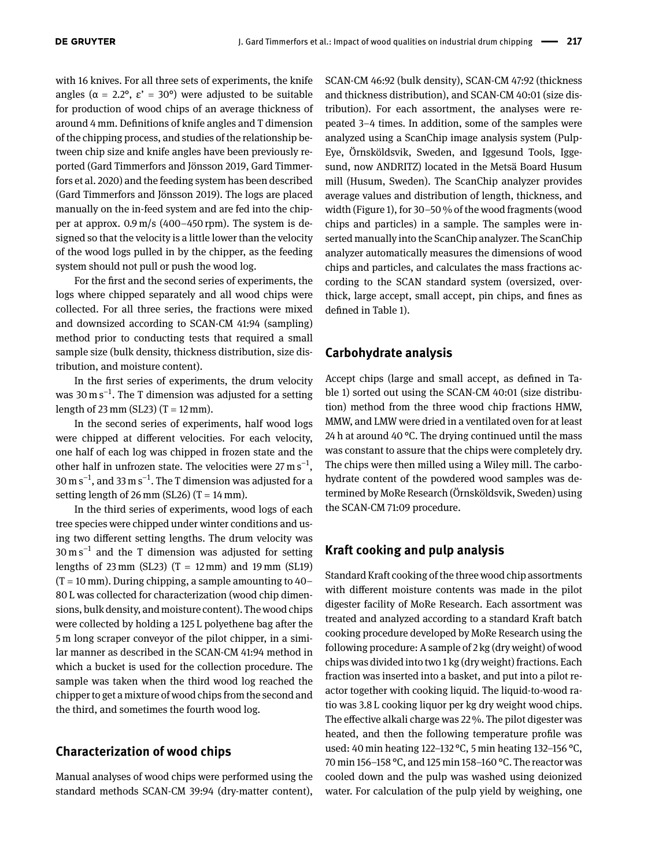with 16 knives. For all three sets of experiments, the knife angles ( $α = 2.2°$ ,  $ε' = 30°$ ) were adjusted to be suitable for production of wood chips of an average thickness of around 4 mm. Defnitions of knife angles and T dimension of the chipping process, and studies of the relationship between chip size and knife angles have been previously reported (Gard Timmerfors and Jönsson [2019,](#page-11-4) Gard Timmerfors et al. [2020\)](#page-11-3) and the feeding system has been described (Gard Timmerfors and Jönsson [2019\)](#page-11-4). The logs are placed manually on the in-feed system and are fed into the chipper at approx.  $0.9 \text{ m/s}$  (400–450 rpm). The system is designed so that the velocity is a little lower than the velocity of the wood logs pulled in by the chipper, as the feeding system should not pull or push the wood log.

For the frst and the second series of experiments, the logs where chipped separately and all wood chips were collected. For all three series, the fractions were mixed and downsized according to SCAN-CM 41:94 (sampling) method prior to conducting tests that required a small sample size (bulk density, thickness distribution, size distribution, and moisture content).

In the frst series of experiments, the drum velocity was 30 m s<sup>-1</sup>. The T dimension was adjusted for a setting length of 23 mm (SL23) (T =  $12$  mm).

In the second series of experiments, half wood logs were chipped at diferent velocities. For each velocity, one half of each log was chipped in frozen state and the other half in unfrozen state. The velocities were  $27 \text{ m s}^{-1}$ , 30  $\mathrm{m\,s}^{-1}$ , and 33  $\mathrm{m\,s}^{-1}$ . The T dimension was adjusted for a setting length of 26 mm (SL26) (T =  $14$  mm).

In the third series of experiments, wood logs of each tree species were chipped under winter conditions and using two diferent setting lengths. The drum velocity was  $30 \text{ m s}^{-1}$  and the T dimension was adjusted for setting lengths of 23 mm (SL23)  $(T = 12 \text{ mm})$  and 19 mm (SL19)  $(T = 10 \text{ mm})$ . During chipping, a sample amounting to 40– 80 L was collected for characterization (wood chip dimensions, bulk density, and moisture content). The wood chips were collected by holding a 125 L polyethene bag after the 5 m long scraper conveyor of the pilot chipper, in a similar manner as described in the SCAN-CM 41:94 method in which a bucket is used for the collection procedure. The sample was taken when the third wood log reached the chipper to get a mixture of wood chips from the second and the third, and sometimes the fourth wood log.

#### **Characterization of wood chips**

Manual analyses of wood chips were performed using the standard methods SCAN-CM 39:94 (dry-matter content),

SCAN-CM 46:92 (bulk density), SCAN-CM 47:92 (thickness and thickness distribution), and SCAN-CM 40:01 (size distribution). For each assortment, the analyses were repeated 3–4 times. In addition, some of the samples were analyzed using a ScanChip image analysis system (Pulp-Eye, Örnsköldsvik, Sweden, and Iggesund Tools, Iggesund, now ANDRITZ) located in the Metsä Board Husum mill (Husum, Sweden). The ScanChip analyzer provides average values and distribution of length, thickness, and width (Figure [1\)](#page-1-0), for 30–50 % of the wood fragments (wood chips and particles) in a sample. The samples were inserted manually into the ScanChip analyzer. The ScanChip analyzer automatically measures the dimensions of wood chips and particles, and calculates the mass fractions according to the SCAN standard system (oversized, overthick, large accept, small accept, pin chips, and fnes as defned in Table [1\)](#page-4-0).

#### **Carbohydrate analysis**

Accept chips (large and small accept, as defned in Table [1\)](#page-4-0) sorted out using the SCAN-CM 40:01 (size distribution) method from the three wood chip fractions HMW, MMW, and LMW were dried in a ventilated oven for at least 24 h at around 40 °C. The drying continued until the mass was constant to assure that the chips were completely dry. The chips were then milled using a Wiley mill. The carbohydrate content of the powdered wood samples was determined by MoRe Research (Örnsköldsvik, Sweden) using the SCAN-CM 71:09 procedure.

#### **Kraft cooking and pulp analysis**

Standard Kraft cooking of the three wood chip assortments with diferent moisture contents was made in the pilot digester facility of MoRe Research. Each assortment was treated and analyzed according to a standard Kraft batch cooking procedure developed by MoRe Research using the following procedure: A sample of 2 kg (dry weight) of wood chips was divided into two 1 kg (dry weight) fractions. Each fraction was inserted into a basket, and put into a pilot reactor together with cooking liquid. The liquid-to-wood ratio was 3.8 L cooking liquor per kg dry weight wood chips. The effective alkali charge was 22%. The pilot digester was heated, and then the following temperature profle was used: 40 min heating 122–132 °C, 5 min heating 132–156 °C, 70 min 156–158 °C, and 125 min 158–160 °C. The reactor was cooled down and the pulp was washed using deionized water. For calculation of the pulp yield by weighing, one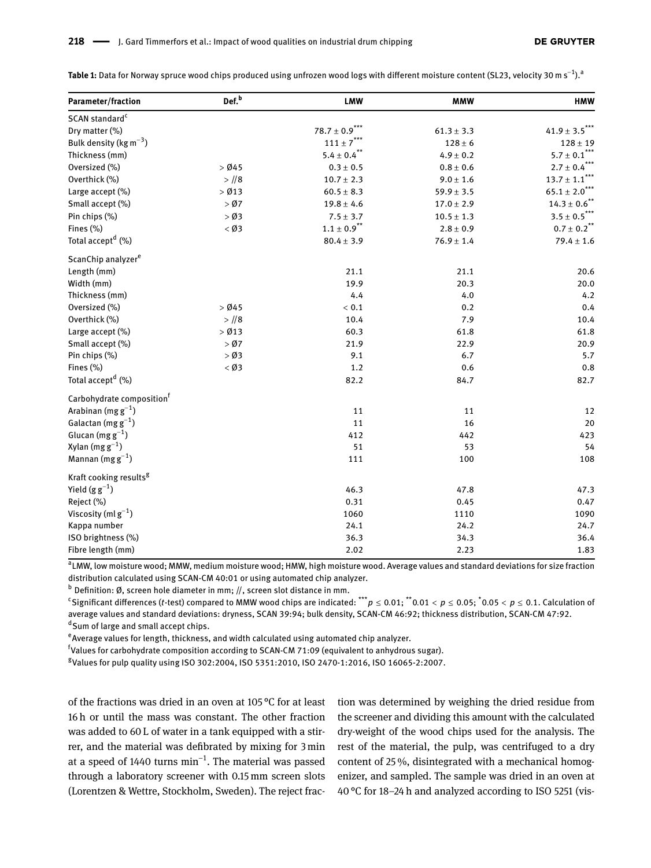<span id="page-4-0"></span>**Table 1:** Data for Norway spruce wood chips produced using unfrozen wood logs with different moisture content (SL23, velocity 30 m s<sup>−1</sup>).<sup>a</sup>

| Parameter/fraction                    | Def. <sup>b</sup> | <b>LMW</b>                   | <b>MMW</b>     | <b>HMW</b>                                    |
|---------------------------------------|-------------------|------------------------------|----------------|-----------------------------------------------|
| SCAN standard <sup>c</sup>            |                   |                              |                |                                               |
| Dry matter (%)                        |                   | $78.7 \pm 0.9$ <sup>**</sup> | $61.3 \pm 3.3$ | $41.9 \pm 3.5$ **                             |
| Bulk density ( $\text{kg m}^{-3}$ )   |                   | $111 \pm 7$ ***              | $128 \pm 6$    | $128 \pm 19$                                  |
| Thickness (mm)                        |                   | $5.4 \pm 0.4$ **             | $4.9 \pm 0.2$  | $5.7\pm0.1$ $\hspace{-0.08em}^{\ast\ast\ast}$ |
| Oversized (%)                         | $>$ Ø45           | $0.3\pm0.5$                  | $0.8\pm0.6$    | $2.7 \pm 0.4$ ***                             |
| Overthick (%)                         | $>$ //8           | $10.7 \pm 2.3$               | $9.0 \pm 1.6$  | $13.7 \pm 1.1$ ***                            |
| Large accept (%)                      | $>$ Ø13           | $60.5 \pm 8.3$               | $59.9 \pm 3.5$ | $65.1 \pm 2.0$ ***                            |
| Small accept (%)                      | $>$ Ø7            | $19.8 \pm 4.6$               | $17.0 \pm 2.9$ | $14.3 \pm 0.6$ <sup>**</sup>                  |
| Pin chips (%)                         | $>$ Ø3            | $7.5 \pm 3.7$                | $10.5 \pm 1.3$ | $3.5\pm0.5$ $\!\!^{\star\star\star}$          |
| Fines (%)                             | $<$ Ø3            | $1.1 \pm 0.9$ <sup>**</sup>  | $2.8 \pm 0.9$  | $0.7 \pm 0.2$ <sup>**</sup>                   |
| Total accept <sup>d</sup> (%)         |                   | $80.4 \pm 3.9$               | $76.9 \pm 1.4$ | $79.4 \pm 1.6$                                |
| ScanChip analyzer <sup>e</sup>        |                   |                              |                |                                               |
| Length (mm)                           |                   | 21.1                         | 21.1           | 20.6                                          |
| Width (mm)                            |                   | 19.9                         | 20.3           | 20.0                                          |
| Thickness (mm)                        |                   | 4.4                          | 4.0            | 4.2                                           |
| Oversized (%)                         | $>$ Ø45           | < 0.1                        | 0.2            | 0.4                                           |
| Overthick (%)                         | $>$ //8           | 10.4                         | 7.9            | 10.4                                          |
| Large accept (%)                      | $>$ Ø13           | 60.3                         | 61.8           | 61.8                                          |
| Small accept (%)                      | $>$ Ø7            | 21.9                         | 22.9           | 20.9                                          |
| Pin chips (%)                         | $>$ Ø3            | 9.1                          | 6.7            | 5.7                                           |
| Fines (%)                             | $<$ Ø3            | 1.2                          | 0.6            | 0.8                                           |
| Total accept <sup>d</sup> (%)         |                   | 82.2                         | 84.7           | 82.7                                          |
| Carbohydrate composition <sup>†</sup> |                   |                              |                |                                               |
| Arabinan (mg $g^{-1}$ )               |                   | 11                           | 11             | 12                                            |
| Galactan (mg $g^{-1}$ )               |                   | 11                           | 16             | 20                                            |
| Glucan (mg $g^{-1}$ )                 |                   | 412                          | 442            | 423                                           |
| Xylan $(mg g^{-1})$                   |                   | 51                           | 53             | 54                                            |
| Mannan (mg $g^{-1}$ )                 |                   | 111                          | 100            | 108                                           |
| Kraft cooking results <sup>g</sup>    |                   |                              |                |                                               |
| Yield $(g g^{-1})$                    |                   | 46.3                         | 47.8           | 47.3                                          |
| Reject (%)                            |                   | 0.31                         | 0.45           | 0.47                                          |
| Viscosity (ml $g^{-1}$ )              |                   | 1060                         | 1110           | 1090                                          |
| Kappa number                          |                   | 24.1                         | 24.2           | 24.7                                          |
| ISO brightness (%)                    |                   | 36.3                         | 34.3           | 36.4                                          |
| Fibre length (mm)                     |                   | 2.02                         | 2.23           | 1.83                                          |

a LMW, low moisture wood; MMW, medium moisture wood; HMW, high moisture wood. Average values and standard deviations for size fraction distribution calculated using SCAN-CM 40:01 or using automated chip analyzer.

 $<sup>b</sup>$  Definition: Ø, screen hole diameter in mm; //, screen slot distance in mm.</sup>

c Signifcant diferences (*t*-test) compared to MMW wood chips are indicated: \*\*\**p* ≤ 0.01; \*\*0.01 < *p* ≤ 0.05; \* 0.05 < *p* ≤ 0.1. Calculation of average values and standard deviations: dryness, SCAN 39:94; bulk density, SCAN-CM 46:92; thickness distribution, SCAN-CM 47:92.

d Sum of large and small accept chips.

 $\text{e}_{\text{Average}}$  values for length, thickness, and width calculated using automated chip analyzer.

<sup>f</sup>Values for carbohydrate composition according to SCAN-CM 71:09 (equivalent to anhydrous sugar).

g Values for pulp quality using ISO 302:2004, ISO 5351:2010, ISO 2470-1:2016, ISO 16065-2:2007.

of the fractions was dried in an oven at 105 °C for at least 16 h or until the mass was constant. The other fraction was added to 60 L of water in a tank equipped with a stirrer, and the material was defbrated by mixing for 3 min at a speed of 1440 turns  $\text{min}^{-1}.$  The material was passed through a laboratory screener with 0.15 mm screen slots (Lorentzen & Wettre, Stockholm, Sweden). The reject fraction was determined by weighing the dried residue from the screener and dividing this amount with the calculated dry-weight of the wood chips used for the analysis. The rest of the material, the pulp, was centrifuged to a dry content of 25 %, disintegrated with a mechanical homogenizer, and sampled. The sample was dried in an oven at 40 °C for 18–24 h and analyzed according to ISO 5251 (vis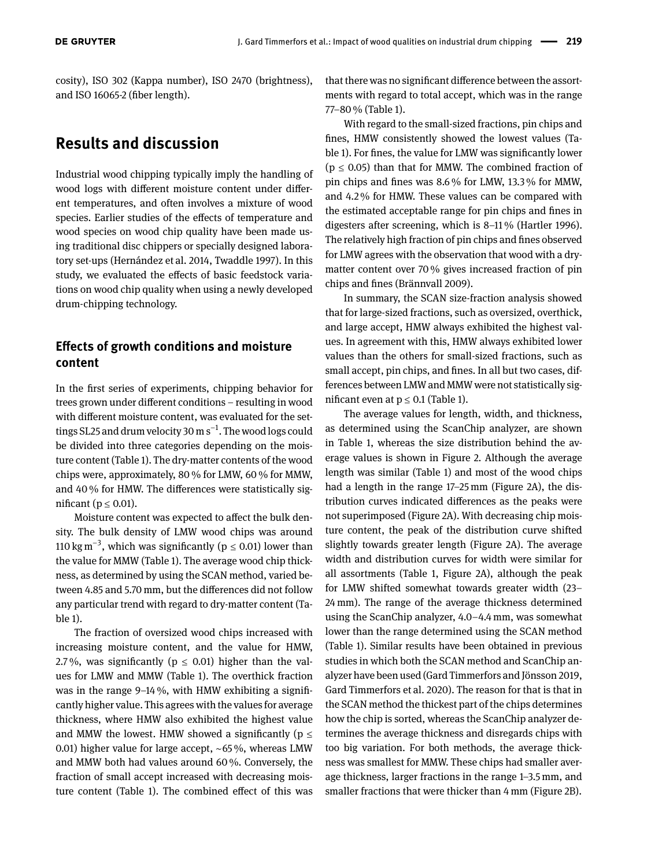cosity), ISO 302 (Kappa number), ISO 2470 (brightness), and ISO 16065-2 (fber length).

## **Results and discussion**

Industrial wood chipping typically imply the handling of wood logs with diferent moisture content under diferent temperatures, and often involves a mixture of wood species. Earlier studies of the efects of temperature and wood species on wood chip quality have been made using traditional disc chippers or specially designed laboratory set-ups (Hernández et al. [2014,](#page-11-7) Twaddle [1997\)](#page-12-3). In this study, we evaluated the effects of basic feedstock variations on wood chip quality when using a newly developed drum-chipping technology.

#### **Efects of growth conditions and moisture content**

In the frst series of experiments, chipping behavior for trees grown under diferent conditions – resulting in wood with diferent moisture content, was evaluated for the settings SL25 and drum velocity 30 m s−<sup>1</sup> . The wood logs could be divided into three categories depending on the moisture content (Table [1\)](#page-4-0). The dry-matter contents of the wood chips were, approximately, 80 % for LMW, 60 % for MMW, and 40 % for HMW. The diferences were statistically significant ( $p \leq 0.01$ ).

Moisture content was expected to affect the bulk density. The bulk density of LMW wood chips was around 110 kg m<sup>-3</sup>, which was significantly ( $p \le 0.01$ ) lower than the value for MMW (Table [1\)](#page-4-0). The average wood chip thickness, as determined by using the SCAN method, varied between 4.85 and 5.70 mm, but the diferences did not follow any particular trend with regard to dry-matter content (Table [1\)](#page-4-0).

The fraction of oversized wood chips increased with increasing moisture content, and the value for HMW, 2.7%, was significantly ( $p \le 0.01$ ) higher than the values for LMW and MMW (Table [1\)](#page-4-0). The overthick fraction was in the range  $9-14\%$ , with HMW exhibiting a significantly higher value. This agrees with the values for average thickness, where HMW also exhibited the highest value and MMW the lowest. HMW showed a significantly ( $p \leq$ 0.01) higher value for large accept, ∼65 %, whereas LMW and MMW both had values around 60 %. Conversely, the fraction of small accept increased with decreasing moisture content (Table [1\)](#page-4-0). The combined efect of this was that there was no signifcant diference between the assortments with regard to total accept, which was in the range 77–80 % (Table [1\)](#page-4-0).

With regard to the small-sized fractions, pin chips and fnes, HMW consistently showed the lowest values (Table [1\)](#page-4-0). For fnes, the value for LMW was signifcantly lower  $(p \le 0.05)$  than that for MMW. The combined fraction of pin chips and fnes was 8.6 % for LMW, 13.3 % for MMW, and 4.2 % for HMW. These values can be compared with the estimated acceptable range for pin chips and fnes in digesters after screening, which is 8–11 % (Hartler [1996\)](#page-11-1). The relatively high fraction of pin chips and fnes observed for LMW agrees with the observation that wood with a drymatter content over 70 % gives increased fraction of pin chips and fnes (Brännvall [2009\)](#page-11-2).

In summary, the SCAN size-fraction analysis showed that for large-sized fractions, such as oversized, overthick, and large accept, HMW always exhibited the highest values. In agreement with this, HMW always exhibited lower values than the others for small-sized fractions, such as small accept, pin chips, and fnes. In all but two cases, differences between LMW and MMW were not statistically significant even at  $p \le 0.1$  (Table [1\)](#page-4-0).

The average values for length, width, and thickness, as determined using the ScanChip analyzer, are shown in Table [1,](#page-4-0) whereas the size distribution behind the average values is shown in Figure [2.](#page-6-0) Although the average length was similar (Table [1\)](#page-4-0) and most of the wood chips had a length in the range 17–25 mm (Figure [2A](#page-6-0)), the distribution curves indicated diferences as the peaks were not superimposed (Figure [2A](#page-6-0)). With decreasing chip moisture content, the peak of the distribution curve shifted slightly towards greater length (Figure [2A](#page-6-0)). The average width and distribution curves for width were similar for all assortments (Table [1,](#page-4-0) Figure [2A](#page-6-0)), although the peak for LMW shifted somewhat towards greater width (23– 24 mm). The range of the average thickness determined using the ScanChip analyzer, 4.0–4.4 mm, was somewhat lower than the range determined using the SCAN method (Table [1\)](#page-4-0). Similar results have been obtained in previous studies in which both the SCAN method and ScanChip analyzer have been used (Gard Timmerfors and Jönsson [2019,](#page-11-4) Gard Timmerfors et al. [2020\)](#page-11-3). The reason for that is that in the SCAN method the thickest part of the chips determines how the chip is sorted, whereas the ScanChip analyzer determines the average thickness and disregards chips with too big variation. For both methods, the average thickness was smallest for MMW. These chips had smaller average thickness, larger fractions in the range 1–3.5 mm, and smaller fractions that were thicker than 4 mm (Figure [2B](#page-6-0)).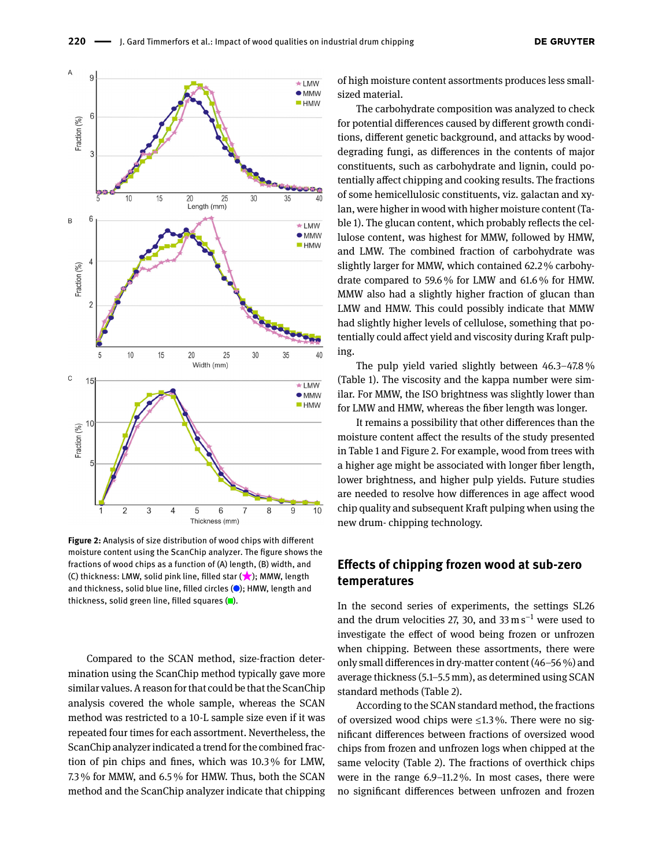<span id="page-6-0"></span>

**Figure 2:** Analysis of size distribution of wood chips with diferent moisture content using the ScanChip analyzer. The fgure shows the fractions of wood chips as a function of (A) length, (B) width, and (C) thickness: LMW, solid pink line, filled star  $(\star)$ ; MMW, length and thickness, solid blue line, filled circles  $($  ); HMW, length and thickness, solid green line, filled squares  $\Box$ ).

Compared to the SCAN method, size-fraction determination using the ScanChip method typically gave more similar values. A reason for that could be that the ScanChip analysis covered the whole sample, whereas the SCAN method was restricted to a 10-L sample size even if it was repeated four times for each assortment. Nevertheless, the ScanChip analyzer indicated a trend for the combined fraction of pin chips and fnes, which was 10.3 % for LMW, 7.3 % for MMW, and 6.5 % for HMW. Thus, both the SCAN method and the ScanChip analyzer indicate that chipping of high moisture content assortments produces less smallsized material.

The carbohydrate composition was analyzed to check for potential diferences caused by diferent growth conditions, diferent genetic background, and attacks by wooddegrading fungi, as diferences in the contents of major constituents, such as carbohydrate and lignin, could potentially afect chipping and cooking results. The fractions of some hemicellulosic constituents, viz. galactan and xylan, were higher in wood with higher moisture content (Table [1\)](#page-4-0). The glucan content, which probably refects the cellulose content, was highest for MMW, followed by HMW, and LMW. The combined fraction of carbohydrate was slightly larger for MMW, which contained 62.2 % carbohydrate compared to 59.6 % for LMW and 61.6 % for HMW. MMW also had a slightly higher fraction of glucan than LMW and HMW. This could possibly indicate that MMW had slightly higher levels of cellulose, something that potentially could afect yield and viscosity during Kraft pulping.

The pulp yield varied slightly between 46.3–47.8 % (Table [1\)](#page-4-0). The viscosity and the kappa number were similar. For MMW, the ISO brightness was slightly lower than for LMW and HMW, whereas the fiber length was longer.

It remains a possibility that other diferences than the moisture content afect the results of the study presented in Table [1](#page-4-0) and Figure [2.](#page-6-0) For example, wood from trees with a higher age might be associated with longer fber length, lower brightness, and higher pulp yields. Future studies are needed to resolve how diferences in age afect wood chip quality and subsequent Kraft pulping when using the new drum- chipping technology.

#### **Efects of chipping frozen wood at sub-zero temperatures**

In the second series of experiments, the settings SL26 and the drum velocities 27, 30, and 33 m s<sup>-1</sup> were used to investigate the efect of wood being frozen or unfrozen when chipping. Between these assortments, there were only small diferences in dry-matter content (46–56 %) and average thickness (5.1–5.5 mm), as determined using SCAN standard methods (Table [2\)](#page-7-0).

According to the SCAN standard method, the fractions of oversized wood chips were  $\leq 1.3\%$ . There were no signifcant diferences between fractions of oversized wood chips from frozen and unfrozen logs when chipped at the same velocity (Table [2\)](#page-7-0). The fractions of overthick chips were in the range 6.9–11.2 %. In most cases, there were no signifcant diferences between unfrozen and frozen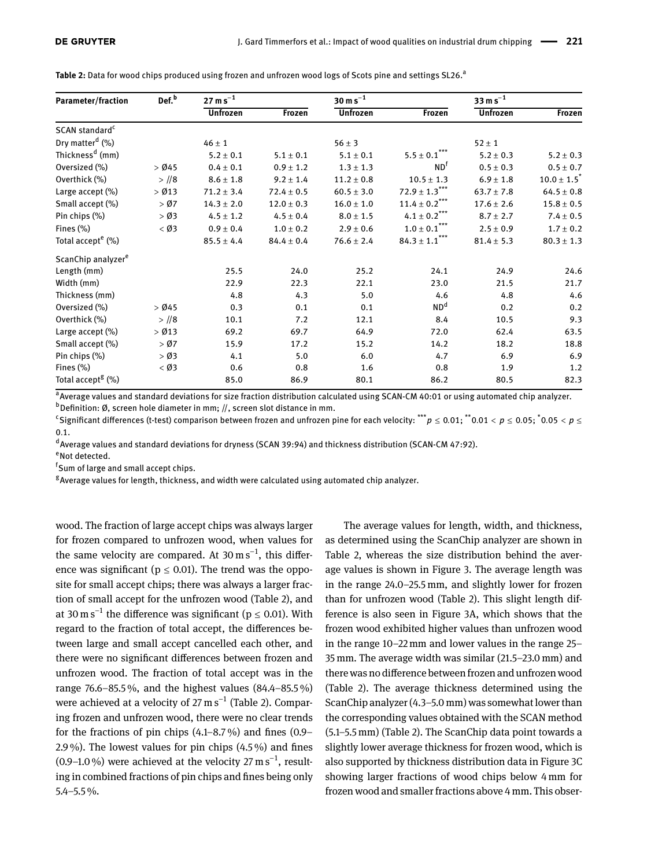| <b>Parameter/fraction</b>      | Def. <sup>b</sup> | $27 \,\mathrm{m\,s}^{-1}$ |                | $30 \text{ m s}^{-1}$ |                                                     | $33 \text{ m s}^{-1}$ |                    |
|--------------------------------|-------------------|---------------------------|----------------|-----------------------|-----------------------------------------------------|-----------------------|--------------------|
|                                |                   | <b>Unfrozen</b>           | Frozen         | <b>Unfrozen</b>       | Frozen                                              | <b>Unfrozen</b>       | Frozen             |
| SCAN standard <sup>c</sup>     |                   |                           |                |                       |                                                     |                       |                    |
| Dry matter <sup>d</sup> (%)    |                   | $46 \pm 1$                |                | $56 \pm 3$            |                                                     | $52 \pm 1$            |                    |
| Thickness <sup>d</sup> (mm)    |                   | $5.2 \pm 0.1$             | $5.1 \pm 0.1$  | $5.1 \pm 0.1$         | $5.5 \pm 0.1$                                       | $5.2 \pm 0.3$         | $5.2 \pm 0.3$      |
| Oversized (%)                  | $>$ Ø45           | $0.4 \pm 0.1$             | $0.9 \pm 1.2$  | $1.3 \pm 1.3$         | ND <sup>T</sup>                                     | $0.5 \pm 0.3$         | $0.5 \pm 0.7$      |
| Overthick (%)                  | $>$ //8           | $8.6 \pm 1.8$             | $9.2 \pm 1.4$  | $11.2 \pm 0.8$        | $10.5 \pm 1.3$                                      | $6.9 \pm 1.8$         | $10.0 \pm 1.5^{*}$ |
| Large accept (%)               | $>$ Ø13           | $71.2 \pm 3.4$            | $72.4 \pm 0.5$ | $60.5 \pm 3.0$        | $72.9\pm1.3^{\ast\ast\ast}$                         | $63.7 \pm 7.8$        | $64.5 \pm 0.8$     |
| Small accept (%)               | $>$ Ø7            | $14.3 \pm 2.0$            | $12.0 \pm 0.3$ | $16.0 \pm 1.0$        | $11.4 \pm 0.2$ <sup>***</sup>                       | $17.6 \pm 2.6$        | $15.8 \pm 0.5$     |
| Pin chips (%)                  | $>$ Ø3            | $4.5 \pm 1.2$             | $4.5 \pm 0.4$  | $8.0 \pm 1.5$         | $4.1\pm0.2$ $\!\!^{\star\star\star}$                | $8.7 \pm 2.7$         | $7.4 \pm 0.5$      |
| Fines $(\%)$                   | $<$ Ø3            | $0.9 \pm 0.4$             | $1.0 \pm 0.2$  | $2.9 \pm 0.6$         | $\textbf{1.0} \pm \textbf{0.1}^{\star \star \star}$ | $2.5 \pm 0.9$         | $1.7 \pm 0.2$      |
| Total accept <sup>e</sup> (%)  |                   | $85.5 \pm 4.4$            | $84.4 \pm 0.4$ | $76.6 \pm 2.4$        | $84.3 \pm 1.1^{\star\star\star}$                    | $81.4 \pm 5.3$        | $80.3 \pm 1.3$     |
| ScanChip analyzer <sup>e</sup> |                   |                           |                |                       |                                                     |                       |                    |
| Length (mm)                    |                   | 25.5                      | 24.0           | 25.2                  | 24.1                                                | 24.9                  | 24.6               |
| Width (mm)                     |                   | 22.9                      | 22.3           | 22.1                  | 23.0                                                | 21.5                  | 21.7               |
| Thickness (mm)                 |                   | 4.8                       | 4.3            | 5.0                   | 4.6                                                 | 4.8                   | 4.6                |
| Oversized (%)                  | $>$ Ø45           | 0.3                       | 0.1            | 0.1                   | ND <sup>d</sup>                                     | 0.2                   | 0.2                |
| Overthick (%)                  | $>$ //8           | 10.1                      | 7.2            | 12.1                  | 8.4                                                 | 10.5                  | 9.3                |
| Large accept (%)               | $>$ Ø13           | 69.2                      | 69.7           | 64.9                  | 72.0                                                | 62.4                  | 63.5               |
| Small accept (%)               | > 07              | 15.9                      | 17.2           | 15.2                  | 14.2                                                | 18.2                  | 18.8               |
| Pin chips (%)                  | $>$ Ø3            | 4.1                       | 5.0            | 6.0                   | 4.7                                                 | 6.9                   | 6.9                |
| Fines (%)                      | $<$ Ø3            | 0.6                       | 0.8            | 1.6                   | 0.8                                                 | 1.9                   | 1.2                |
| Total accept <sup>8</sup> (%)  |                   | 85.0                      | 86.9           | 80.1                  | 86.2                                                | 80.5                  | 82.3               |

<span id="page-7-0"></span>Table 2: Data for wood chips produced using frozen and unfrozen wood logs of Scots pine and settings SL26.<sup>a</sup>

<sup>a</sup> Average values and standard deviations for size fraction distribution calculated using SCAN-CM 40:01 or using automated chip analyzer.  $b$ Definition: Ø, screen hole diameter in mm; //, screen slot distance in mm.

c Signifcant diferences (t-test) comparison between frozen and unfrozen pine for each velocity: \*\*\**p* ≤ 0.01; \*\*0.01 < *p* ≤ 0.05; \* 0.05 < *p* ≤ 0.1.

d Average values and standard deviations for dryness (SCAN 39:94) and thickness distribution (SCAN-CM 47:92).

eNot detected.

f Sum of large and small accept chips.

<sup>g</sup> Average values for length, thickness, and width were calculated using automated chip analyzer.

wood. The fraction of large accept chips was always larger for frozen compared to unfrozen wood, when values for the same velocity are compared. At  $30 \text{ m s}^{-1}$ , this difference was significant ( $p \le 0.01$ ). The trend was the opposite for small accept chips; there was always a larger fraction of small accept for the unfrozen wood (Table [2\)](#page-7-0), and at 30 m s<sup>-1</sup> the difference was significant ( $p \le 0.01$ ). With regard to the fraction of total accept, the diferences between large and small accept cancelled each other, and there were no signifcant diferences between frozen and unfrozen wood. The fraction of total accept was in the range 76.6–85.5 %, and the highest values (84.4–85.5 %) were achieved at a velocity of 27 m  $\rm s^{-1}$  (Table [2\)](#page-7-0). Comparing frozen and unfrozen wood, there were no clear trends for the fractions of pin chips  $(4.1-8.7\%)$  and fines  $(0.9-$ 2.9 %). The lowest values for pin chips (4.5 %) and fnes (0.9–1.0 %) were achieved at the velocity  $27 \text{ m s}^{-1}$ , resulting in combined fractions of pin chips and fnes being only 5.4–5.5 %.

The average values for length, width, and thickness, as determined using the ScanChip analyzer are shown in Table [2,](#page-7-0) whereas the size distribution behind the average values is shown in Figure [3.](#page-8-0) The average length was in the range 24.0–25.5 mm, and slightly lower for frozen than for unfrozen wood (Table [2\)](#page-7-0). This slight length difference is also seen in Figure [3A](#page-8-0), which shows that the frozen wood exhibited higher values than unfrozen wood in the range 10–22 mm and lower values in the range 25– 35 mm. The average width was similar (21.5–23.0 mm) and there was no diference between frozen and unfrozen wood (Table [2\)](#page-7-0). The average thickness determined using the ScanChip analyzer (4.3–5.0 mm) was somewhat lower than the corresponding values obtained with the SCAN method (5.1–5.5 mm) (Table [2\)](#page-7-0). The ScanChip data point towards a slightly lower average thickness for frozen wood, which is also supported by thickness distribution data in Figure [3C](#page-8-0) showing larger fractions of wood chips below 4 mm for frozen wood and smaller fractions above 4 mm. This obser-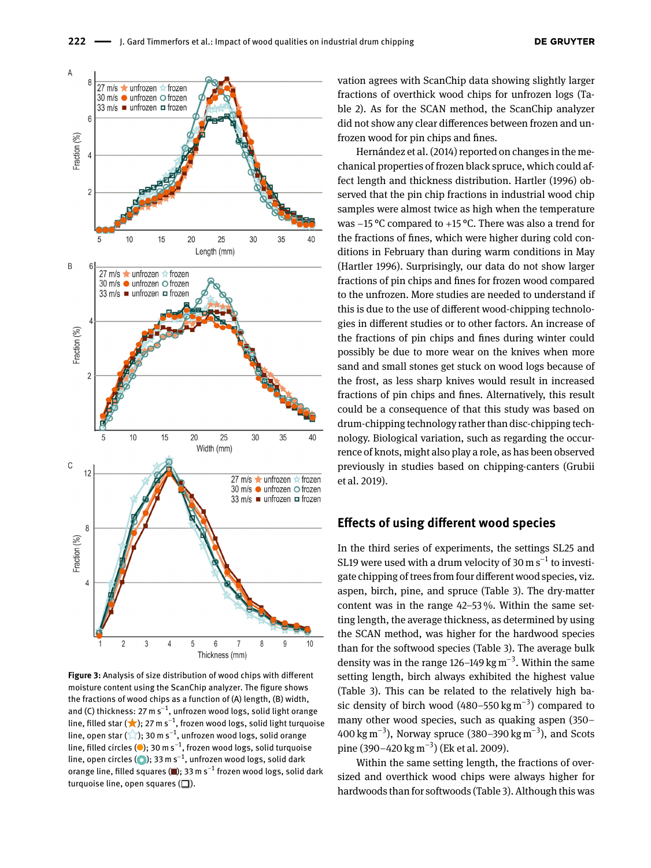<span id="page-8-0"></span>

**Figure 3:** Analysis of size distribution of wood chips with diferent moisture content using the ScanChip analyzer. The fgure shows the fractions of wood chips as a function of (A) length, (B) width, and (C) thickness: 27 m s $^{-1}$ , unfrozen wood logs, solid light orange line, filled star ( $\bigstar$ ); 27 m s $^{-1}$ , frozen wood logs, solid light turquoise line, open star ( $\chi$ ); 30 m s<sup>−1</sup>, unfrozen wood logs, solid orange line, filled circles (●); 30 m s $^{-1}$ , frozen wood logs, solid turquoise line, open circles ( $\odot$ ); 33 m s $^{-1}$ , unfrozen wood logs, solid dark orange line, filled squares (■); 33 m s $^{-1}$  frozen wood logs, solid dark turquoise line, open squares  $(\Box)$ .

vation agrees with ScanChip data showing slightly larger fractions of overthick wood chips for unfrozen logs (Table [2\)](#page-7-0). As for the SCAN method, the ScanChip analyzer did not show any clear diferences between frozen and unfrozen wood for pin chips and fnes.

Hernández et al. [\(2014\)](#page-11-7) reported on changes in the mechanical properties of frozen black spruce, which could affect length and thickness distribution. Hartler [\(1996\)](#page-11-1) observed that the pin chip fractions in industrial wood chip samples were almost twice as high when the temperature was −15 °C compared to +15 °C. There was also a trend for the fractions of fnes, which were higher during cold conditions in February than during warm conditions in May (Hartler [1996\)](#page-11-1). Surprisingly, our data do not show larger fractions of pin chips and fnes for frozen wood compared to the unfrozen. More studies are needed to understand if this is due to the use of diferent wood-chipping technologies in diferent studies or to other factors. An increase of the fractions of pin chips and fnes during winter could possibly be due to more wear on the knives when more sand and small stones get stuck on wood logs because of the frost, as less sharp knives would result in increased fractions of pin chips and fnes. Alternatively, this result could be a consequence of that this study was based on drum-chipping technology rather than disc-chipping technology. Biological variation, such as regarding the occurrence of knots, might also play a role, as has been observed previously in studies based on chipping-canters (Grubii et al. [2019\)](#page-11-13).

#### **Efects of using diferent wood species**

In the third series of experiments, the settings SL25 and SL19 were used with a drum velocity of 30 m  $\rm s^{-1}$  to investigate chipping of trees from four diferent wood species, viz. aspen, birch, pine, and spruce (Table [3\)](#page-9-0). The dry-matter content was in the range 42–53 %. Within the same setting length, the average thickness, as determined by using the SCAN method, was higher for the hardwood species than for the softwood species (Table [3\)](#page-9-0). The average bulk density was in the range 126–149 kg m<sup>−3</sup>. Within the same setting length, birch always exhibited the highest value (Table [3\)](#page-9-0). This can be related to the relatively high basic density of birch wood  $(480–550 \text{ kg m}^{-3})$  compared to many other wood species, such as quaking aspen (350– 400 kg m<sup>−3</sup>), Norway spruce (380–390 kg m<sup>−3</sup>), and Scots pine (390–420 kg m<sup>−3</sup>) (Ek et al. [2009\)](#page-11-14).

Within the same setting length, the fractions of oversized and overthick wood chips were always higher for hardwoods than for softwoods (Table [3\)](#page-9-0). Although this was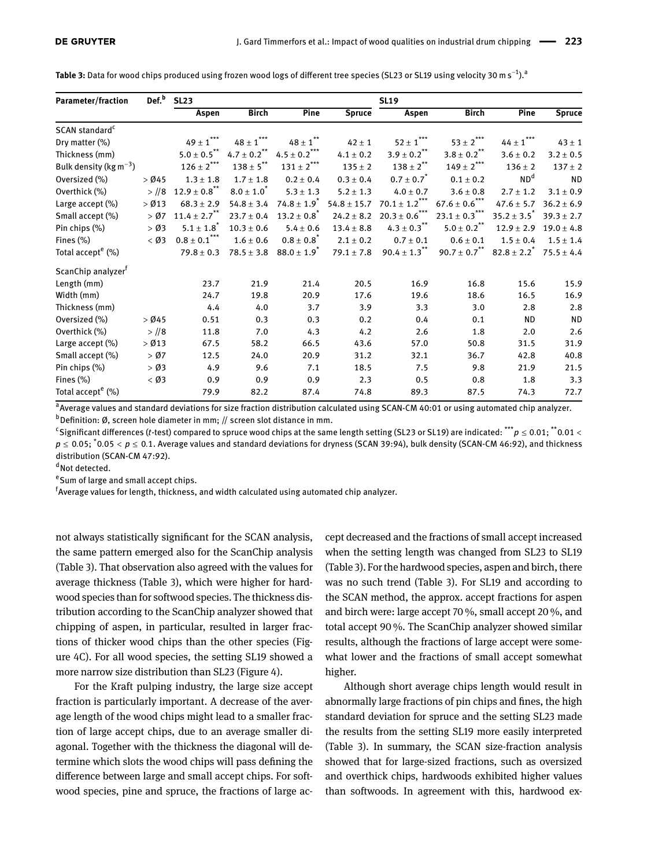<span id="page-9-0"></span>

|  |  | <b>Table 3:</b> Data for wood chips produced using frozen wood logs of different tree species (SL23 or SL19 using velocity 30 m s <sup>–1</sup> ). <sup>a</sup> |  |  |
|--|--|-----------------------------------------------------------------------------------------------------------------------------------------------------------------|--|--|
|--|--|-----------------------------------------------------------------------------------------------------------------------------------------------------------------|--|--|

| <b>Parameter/fraction</b>           | Def. <sup>b</sup> | <b>SL23</b>                  |                                                |                                                          |                 | <b>SL19</b>                    |                             |                    |                |
|-------------------------------------|-------------------|------------------------------|------------------------------------------------|----------------------------------------------------------|-----------------|--------------------------------|-----------------------------|--------------------|----------------|
|                                     |                   | Aspen                        | <b>Birch</b>                                   | Pine                                                     | <b>Spruce</b>   | Aspen                          | <b>Birch</b>                | Pine               | <b>Spruce</b>  |
| SCAN standard <sup>c</sup>          |                   |                              |                                                |                                                          |                 |                                |                             |                    |                |
| Dry matter $(\%)$                   |                   | $49\pm1***$                  | $48 \pm 1$ $\hspace{-1.0cm}^{\star\star\star}$ | $48 \pm 1$ $^{**}$                                       | $42 \pm 1$      | $52 \pm 1$ $\!\!$              | $53\pm2^{***}$              | $44\pm1***$        | $43 \pm 1$     |
| Thickness (mm)                      |                   | $5.0\pm0.5$ $^{**}$          | $4.7 \pm 0.2$ <sup>**</sup>                    | $4.5\pm0.2$ $\raisebox{1ex}{\footnotesize \textbf{***}}$ | $4.1 \pm 0.2$   | $3.9 \pm 0.2$ <sup>**</sup>    | $3.8 \pm 0.2$ <sup>**</sup> | $3.6 \pm 0.2$      | $3.2 \pm 0.5$  |
| Bulk density ( $\text{kg m}^{-3}$ ) |                   | $126\pm2^{***}$              | $138\pm5^{**}$                                 | $131\pm2^{***}$                                          | $135 \pm 2$     | $138 \pm 2^{**}$               | $149 \pm 2$ ***             | $136 \pm 2$        | $137 \pm 2$    |
| Oversized (%)                       | $>$ Ø45           | $1.3 \pm 1.8$                | $1.7 \pm 1.8$                                  | $0.2 \pm 0.4$                                            | $0.3 \pm 0.4$   | $0.7 \pm 0.7^{*}$              | $0.1 \pm 0.2$               | ND <sup>d</sup>    | <b>ND</b>      |
| Overthick (%)                       | $>$ //8           | $12.9 \pm 0.8$ <sup>**</sup> | $8.0 \pm 1.0^{*}$                              | $5.3 \pm 1.3$                                            | $5.2 \pm 1.3$   | $4.0 \pm 0.7$                  | $3.6 \pm 0.8$               | $2.7 \pm 1.2$      | $3.1 \pm 0.9$  |
| Large accept (%)                    | $>$ Ø13           | $68.3 \pm 2.9$               | $54.8 \pm 3.4$                                 | $74.8 \pm 1.9$ <sup>*</sup>                              | $54.8 \pm 15.7$ | $70.1\pm1.2^{\star\star\star}$ | $67.6\pm0.6^{***}$          | $47.6 \pm 5.7$     | $36.2 \pm 6.9$ |
| Small accept (%)                    | > 007             | $11.4 \pm 2.7$ <sup>**</sup> | $23.7 \pm 0.4$                                 | $13.2 \pm 0.8$                                           | $24.2 \pm 8.2$  | $20.3 \pm 0.6$ <sup>***</sup>  | $23.1 \pm 0.3$ ***          | $35.2 \pm 3.5^{*}$ | $39.3 \pm 2.7$ |
| Pin chips (%)                       | $>$ Ø3            | $5.1 \pm 1.8$                | $10.3 \pm 0.6$                                 | $5.4 \pm 0.6$                                            | $13.4 \pm 8.8$  | $4.3 \pm 0.3$ <sup>**</sup>    | $5.0\pm0.2$ **              | $12.9 \pm 2.9$     | $19.0 \pm 4.8$ |
| Fines $(\%)$                        | $<$ Ø3            | $0.8\pm0.1$ ***              | $1.6 \pm 0.6$                                  | $0.8 \pm 0.8$                                            | $2.1 \pm 0.2$   | $0.7 \pm 0.1$                  | $0.6 \pm 0.1$               | $1.5 \pm 0.4$      | $1.5\pm1.4$    |
| Total accept <sup>e</sup> (%)       |                   | $79.8 \pm 0.3$               | $78.5 \pm 3.8$                                 | $88.0 \pm 1.9$ <sup>*</sup>                              | $79.1 \pm 7.8$  | $90.4 \pm 1.3$ <sup>**</sup>   | $90.7\pm0.7$ $^{**}$        | $82.8 \pm 2.2^{*}$ | $75.5 \pm 4.4$ |
| ScanChip analyzer <sup>f</sup>      |                   |                              |                                                |                                                          |                 |                                |                             |                    |                |
| Length (mm)                         |                   | 23.7                         | 21.9                                           | 21.4                                                     | 20.5            | 16.9                           | 16.8                        | 15.6               | 15.9           |
| Width (mm)                          |                   | 24.7                         | 19.8                                           | 20.9                                                     | 17.6            | 19.6                           | 18.6                        | 16.5               | 16.9           |
| Thickness (mm)                      |                   | 4.4                          | 4.0                                            | 3.7                                                      | 3.9             | 3.3                            | 3.0                         | 2.8                | 2.8            |
| Oversized (%)                       | $>$ Ø45           | 0.51                         | 0.3                                            | 0.3                                                      | 0.2             | 0.4                            | 0.1                         | <b>ND</b>          | <b>ND</b>      |
| Overthick (%)                       | $>$ //8           | 11.8                         | 7.0                                            | 4.3                                                      | 4.2             | 2.6                            | 1.8                         | 2.0                | 2.6            |
| Large accept (%)                    | $>$ Ø13           | 67.5                         | 58.2                                           | 66.5                                                     | 43.6            | 57.0                           | 50.8                        | 31.5               | 31.9           |
| Small accept (%)                    | > 007             | 12.5                         | 24.0                                           | 20.9                                                     | 31.2            | 32.1                           | 36.7                        | 42.8               | 40.8           |
| Pin chips (%)                       | $>$ Ø3            | 4.9                          | 9.6                                            | 7.1                                                      | 18.5            | 7.5                            | 9.8                         | 21.9               | 21.5           |
| Fines (%)                           | $<$ Ø3            | 0.9                          | 0.9                                            | 0.9                                                      | 2.3             | 0.5                            | 0.8                         | 1.8                | 3.3            |
| Total accept <sup>e</sup> (%)       |                   | 79.9                         | 82.2                                           | 87.4                                                     | 74.8            | 89.3                           | 87.5                        | 74.3               | 72.7           |

<sup>a</sup> Average values and standard deviations for size fraction distribution calculated using SCAN-CM 40:01 or using automated chip analyzer.  $b$ Definition: Ø, screen hole diameter in mm; // screen slot distance in mm.

c Signifcant diferences (*t*-test) compared to spruce wood chips at the same length setting (SL23 or SL19) are indicated: \*\*\**p* ≤ 0.01; \*\*0.01 < *p* ≤ 0.05; \*0.05 < *p* ≤ 0.1. Average values and standard deviations for dryness (SCAN 39:94), bulk density (SCAN-CM 46:92), and thickness distribution (SCAN-CM 47:92).

dNot detected.

e Sum of large and small accept chips.

 $^{\mathsf{f}}$ Average values for length, thickness, and width calculated using automated chip analyzer.

not always statistically signifcant for the SCAN analysis, the same pattern emerged also for the ScanChip analysis (Table [3\)](#page-9-0). That observation also agreed with the values for average thickness (Table [3\)](#page-9-0), which were higher for hardwood species than for softwood species. The thickness distribution according to the ScanChip analyzer showed that chipping of aspen, in particular, resulted in larger fractions of thicker wood chips than the other species (Figure [4C](#page-10-0)). For all wood species, the setting SL19 showed a more narrow size distribution than SL23 (Figure [4\)](#page-10-0).

For the Kraft pulping industry, the large size accept fraction is particularly important. A decrease of the average length of the wood chips might lead to a smaller fraction of large accept chips, due to an average smaller diagonal. Together with the thickness the diagonal will determine which slots the wood chips will pass defning the diference between large and small accept chips. For softwood species, pine and spruce, the fractions of large accept decreased and the fractions of small accept increased when the setting length was changed from SL23 to SL19 (Table [3\)](#page-9-0). For the hardwood species, aspen and birch, there was no such trend (Table [3\)](#page-9-0). For SL19 and according to the SCAN method, the approx. accept fractions for aspen and birch were: large accept 70 %, small accept 20 %, and total accept 90 %. The ScanChip analyzer showed similar results, although the fractions of large accept were somewhat lower and the fractions of small accept somewhat higher.

Although short average chips length would result in abnormally large fractions of pin chips and fnes, the high standard deviation for spruce and the setting SL23 made the results from the setting SL19 more easily interpreted (Table [3\)](#page-9-0). In summary, the SCAN size-fraction analysis showed that for large-sized fractions, such as oversized and overthick chips, hardwoods exhibited higher values than softwoods. In agreement with this, hardwood ex-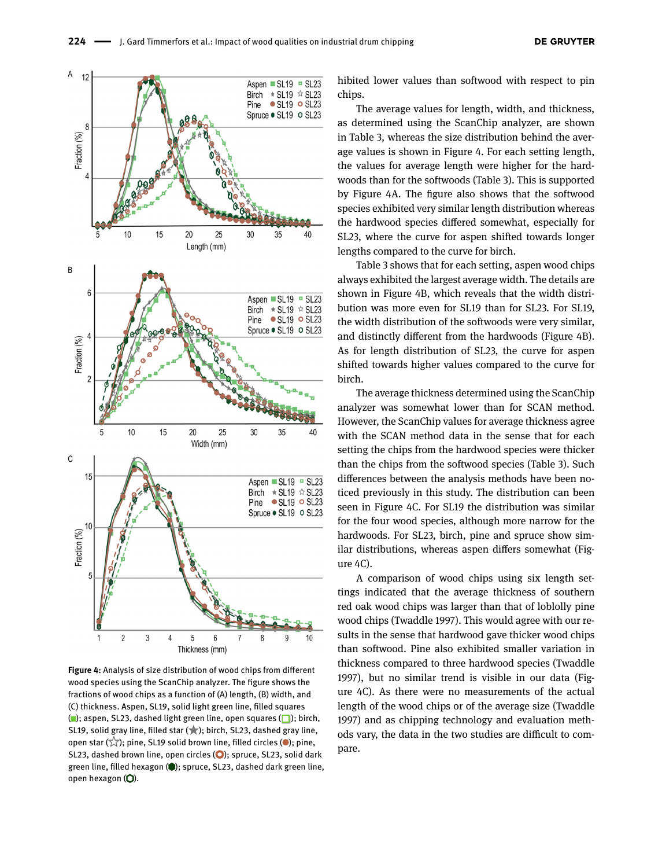<span id="page-10-0"></span>

**Figure 4:** Analysis of size distribution of wood chips from diferent wood species using the ScanChip analyzer. The fgure shows the fractions of wood chips as a function of (A) length, (B) width, and (C) thickness. Aspen, SL19, solid light green line, flled squares ( $\Box$ ); aspen, SL23, dashed light green line, open squares ( $\Box$ ); birch, SL19, solid gray line, filled star ( $\star$ ); birch, SL23, dashed gray line, open star  $(\sqrt[3]{})$ ; pine, SL19 solid brown line, filled circles ( $\bullet$ ); pine, SL23, dashed brown line, open circles  $\left( \bigcirc \right)$ ; spruce, SL23, solid dark green line, filled hexagon ( $\bigcirc$ ); spruce, SL23, dashed dark green line, open hexagon  $(O)$ .

hibited lower values than softwood with respect to pin chips.

The average values for length, width, and thickness, as determined using the ScanChip analyzer, are shown in Table [3,](#page-9-0) whereas the size distribution behind the average values is shown in Figure [4.](#page-10-0) For each setting length, the values for average length were higher for the hardwoods than for the softwoods (Table [3\)](#page-9-0). This is supported by Figure [4A](#page-10-0). The fgure also shows that the softwood species exhibited very similar length distribution whereas the hardwood species difered somewhat, especially for SL23, where the curve for aspen shifted towards longer lengths compared to the curve for birch.

Table [3](#page-9-0) shows that for each setting, aspen wood chips always exhibited the largest average width. The details are shown in Figure [4B](#page-10-0), which reveals that the width distribution was more even for SL19 than for SL23. For SL19, the width distribution of the softwoods were very similar, and distinctly diferent from the hardwoods (Figure [4B](#page-10-0)). As for length distribution of SL23, the curve for aspen shifted towards higher values compared to the curve for birch.

The average thickness determined using the ScanChip analyzer was somewhat lower than for SCAN method. However, the ScanChip values for average thickness agree with the SCAN method data in the sense that for each setting the chips from the hardwood species were thicker than the chips from the softwood species (Table [3\)](#page-9-0). Such diferences between the analysis methods have been noticed previously in this study. The distribution can been seen in Figure [4C](#page-10-0). For SL19 the distribution was similar for the four wood species, although more narrow for the hardwoods. For SL23, birch, pine and spruce show similar distributions, whereas aspen difers somewhat (Figure [4C](#page-10-0)).

A comparison of wood chips using six length settings indicated that the average thickness of southern red oak wood chips was larger than that of loblolly pine wood chips (Twaddle [1997\)](#page-12-3). This would agree with our results in the sense that hardwood gave thicker wood chips than softwood. Pine also exhibited smaller variation in thickness compared to three hardwood species (Twaddle [1997\)](#page-12-3), but no similar trend is visible in our data (Figure [4C](#page-10-0)). As there were no measurements of the actual length of the wood chips or of the average size (Twaddle [1997\)](#page-12-3) and as chipping technology and evaluation methods vary, the data in the two studies are difficult to compare.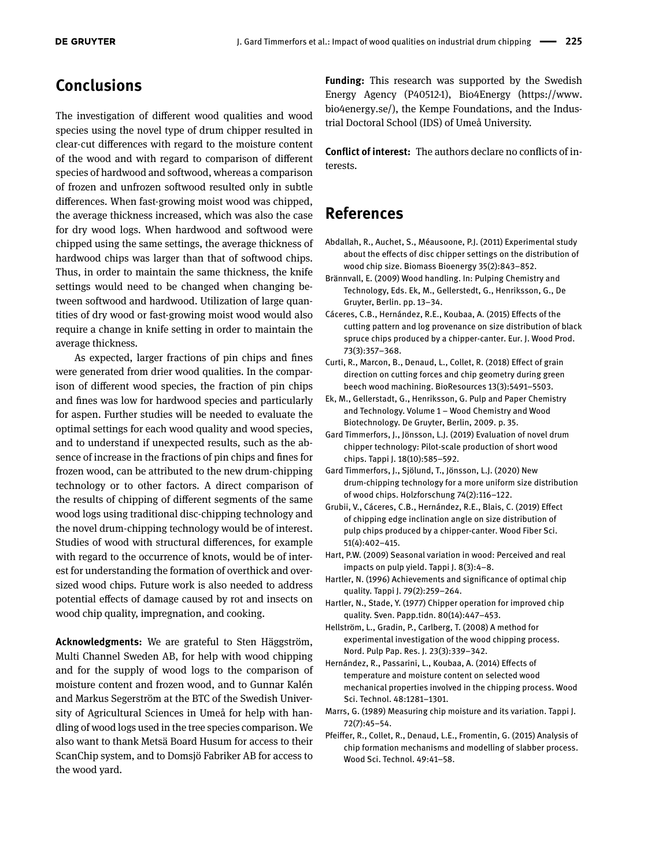# **Conclusions**

The investigation of diferent wood qualities and wood species using the novel type of drum chipper resulted in clear-cut diferences with regard to the moisture content of the wood and with regard to comparison of diferent species of hardwood and softwood, whereas a comparison of frozen and unfrozen softwood resulted only in subtle diferences. When fast-growing moist wood was chipped, the average thickness increased, which was also the case for dry wood logs. When hardwood and softwood were chipped using the same settings, the average thickness of hardwood chips was larger than that of softwood chips. Thus, in order to maintain the same thickness, the knife settings would need to be changed when changing between softwood and hardwood. Utilization of large quantities of dry wood or fast-growing moist wood would also require a change in knife setting in order to maintain the average thickness.

As expected, larger fractions of pin chips and fnes were generated from drier wood qualities. In the comparison of diferent wood species, the fraction of pin chips and fnes was low for hardwood species and particularly for aspen. Further studies will be needed to evaluate the optimal settings for each wood quality and wood species, and to understand if unexpected results, such as the absence of increase in the fractions of pin chips and fnes for frozen wood, can be attributed to the new drum-chipping technology or to other factors. A direct comparison of the results of chipping of diferent segments of the same wood logs using traditional disc-chipping technology and the novel drum-chipping technology would be of interest. Studies of wood with structural diferences, for example with regard to the occurrence of knots, would be of interest for understanding the formation of overthick and oversized wood chips. Future work is also needed to address potential efects of damage caused by rot and insects on wood chip quality, impregnation, and cooking.

**Acknowledgments:** We are grateful to Sten Häggström, Multi Channel Sweden AB, for help with wood chipping and for the supply of wood logs to the comparison of moisture content and frozen wood, and to Gunnar Kalén and Markus Segerström at the BTC of the Swedish University of Agricultural Sciences in Umeå for help with handling of wood logs used in the tree species comparison. We also want to thank Metsä Board Husum for access to their ScanChip system, and to Domsjö Fabriker AB for access to the wood yard.

**Funding:** This research was supported by the Swedish Energy Agency (P40512-1), Bio4Energy [\(https://www.](https://www.bio4energy.se/) [bio4energy.se/\)](https://www.bio4energy.se/), the Kempe Foundations, and the Industrial Doctoral School (IDS) of Umeå University.

**Confict of interest:** The authors declare no conficts of interests.

## **References**

- <span id="page-11-9"></span>Abdallah, R., Auchet, S., Méausoone, P.J. (2011) Experimental study about the efects of disc chipper settings on the distribution of wood chip size. Biomass Bioenergy 35(2):843–852.
- <span id="page-11-2"></span>Brännvall, E. (2009) Wood handling. In: Pulping Chemistry and Technology, Eds. Ek, M., Gellerstedt, G., Henriksson, G., De Gruyter, Berlin. pp. 13–34.
- <span id="page-11-10"></span>Cáceres, C.B., Hernández, R.E., Koubaa, A. (2015) Efects of the cutting pattern and log provenance on size distribution of black spruce chips produced by a chipper-canter. Eur. J. Wood Prod. 73(3):357–368.
- <span id="page-11-12"></span>Curti, R., Marcon, B., Denaud, L., Collet, R. (2018) Efect of grain direction on cutting forces and chip geometry during green beech wood machining. BioResources 13(3):5491–5503.
- <span id="page-11-14"></span>Ek, M., Gellerstadt, G., Henriksson, G. Pulp and Paper Chemistry and Technology. Volume 1 – Wood Chemistry and Wood Biotechnology. De Gruyter, Berlin, 2009. p. 35.
- <span id="page-11-4"></span>Gard Timmerfors, J., Jönsson, L.J. (2019) Evaluation of novel drum chipper technology: Pilot-scale production of short wood chips. Tappi J. 18(10):585–592.
- <span id="page-11-3"></span>Gard Timmerfors, J., Sjölund, T., Jönsson, L.J. (2020) New drum-chipping technology for a more uniform size distribution of wood chips. Holzforschung 74(2):116–122.
- <span id="page-11-13"></span>Grubii, V., Cáceres, C.B., Hernández, R.E., Blais, C. (2019) Efect of chipping edge inclination angle on size distribution of pulp chips produced by a chipper-canter. Wood Fiber Sci. 51(4):402–415.
- <span id="page-11-5"></span>Hart, P.W. (2009) Seasonal variation in wood: Perceived and real impacts on pulp yield. Tappi J. 8(3):4–8.
- <span id="page-11-1"></span>Hartler, N. (1996) Achievements and signifcance of optimal chip quality. Tappi J. 79(2):259–264.
- <span id="page-11-0"></span>Hartler, N., Stade, Y. (1977) Chipper operation for improved chip quality. Sven. Papp.tidn. 80(14):447–453.
- <span id="page-11-8"></span>Hellström, L., Gradin, P., Carlberg, T. (2008) A method for experimental investigation of the wood chipping process. Nord. Pulp Pap. Res. J. 23(3):339–342.
- <span id="page-11-7"></span>Hernández, R., Passarini, L., Koubaa, A. (2014) Efects of temperature and moisture content on selected wood mechanical properties involved in the chipping process. Wood Sci. Technol. 48:1281–1301.
- <span id="page-11-6"></span>Marrs, G. (1989) Measuring chip moisture and its variation. Tappi J. 72(7):45–54.
- <span id="page-11-11"></span>Pfeifer, R., Collet, R., Denaud, L.E., Fromentin, G. (2015) Analysis of chip formation mechanisms and modelling of slabber process. Wood Sci. Technol. 49:41–58.